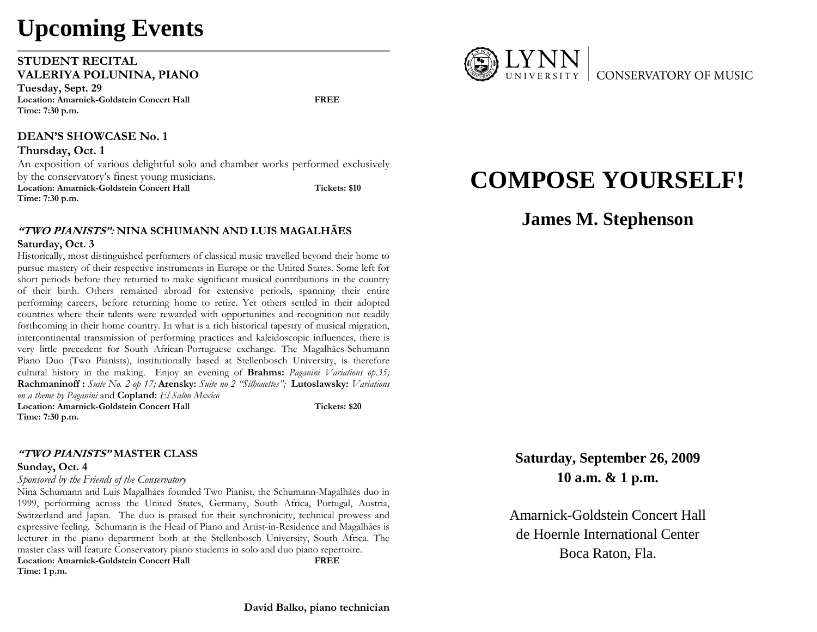# **Upcoming Events**

#### **STUDENT RECITAL VALERIYA POLUNINA, PIANO**

**Tuesday, Sept. 29 Location: Amarnick-Goldstein Concert Hall FREE Time: 7:30 p.m.** 

#### **DEAN'S SHOWCASE No. 1**

**Thursday, Oct. 1**  An exposition of various delightful solo and chamber works performed exclusively by the conservatory's finest young musicians. Location: Amarnick-Goldstein Concert Hall **Tickets: \$10** Tickets: \$10 **Time: 7:30 p.m.** 

### **"TWO PIANISTS": NINA SCHUMANN AND LUIS MAGALHÃES**

#### **Saturday, Oct. 3**

 Historically, most distinguished performers of classical music travelled beyond their home to pursue mastery of their respective instruments in Europe or the United States. Some left for short periods before they returned to make significant musical contributions in the country of their birth. Others remained abroad for extensive periods, spanning their entire performing careers, before returning home to retire. Yet others settled in their adopted countries where their talents were rewarded with opportunities and recognition not readily forthcoming in their home country. In what is a rich historical tapestry of musical migration, intercontinental transmission of performing practices and kaleidoscopic influences, there is very little precedent for South African-Portuguese exchange. The Magalhães-Schumann Piano Duo (Two Pianists), institutionally based at Stellenbosch University, is therefore cultural history in the making. Enjoy an evening of **Brahms:** *Paganini Variations op.35;*  **Rachmaninoff :** *Suite No. 2 op 17;* **Arensky:** *Suite no 2 "Silhouettes";* **Lutoslawsky:** *Variations on a theme by Paganini* and **Copland:** *El Salon Mexico* Location: Amarnick-Goldstein Concert Hall **Tickets: \$20 Time: 7:30 p.m.** 

#### **"TWO PIANISTS" MASTER CLASS**

#### **Sunday, Oct. 4**

#### *Sponsored by the Friends of the Conservatory*

Nina Schumann and Luis Magalhães founded Two Pianist, the Schumann-Magalhães duo in 1999, performing across the United States, Germany, South Africa, Portugal, Austria, Switzerland and Japan. The duo is praised for their synchronicity, technical prowess and expressive feeling. Schumann is the Head of Piano and Artist-in-Residence and Magalhães is lecturer in the piano department both at the Stellenbosch University, South Africa. The master class will feature Conservatory piano students in solo and duo piano repertoire.<br>
Location: Amarnick-Goldstein Concert Hall<br>
FREE **Location: Amarnick-Goldstein Concert Hall Time: 1 p.m.** 



## **COMPOSE YOURSELF!**

### **James M. Stephenson**

**Saturday, September 26, 2009 10 a.m. & 1 p.m.** 

Amarnick-Goldstein Concert Hall de Hoernle International Center Boca Raton, Fla.